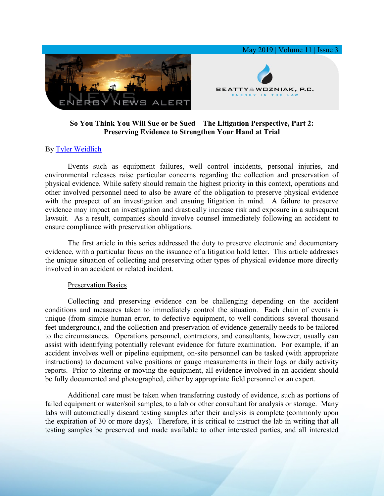

## **So You Think You Will Sue or be Sued – The Litigation Perspective, Part 2: Preserving Evidence to Strengthen Your Hand at Trial**

## By [Tyler Weidlich](https://www.bwenergylaw.com/tyler-weidlich)

Events such as equipment failures, well control incidents, personal injuries, and environmental releases raise particular concerns regarding the collection and preservation of physical evidence. While safety should remain the highest priority in this context, operations and other involved personnel need to also be aware of the obligation to preserve physical evidence with the prospect of an investigation and ensuing litigation in mind. A failure to preserve evidence may impact an investigation and drastically increase risk and exposure in a subsequent lawsuit. As a result, companies should involve counsel immediately following an accident to ensure compliance with preservation obligations.

The first article in this series addressed the duty to preserve electronic and documentary evidence, with a particular focus on the issuance of a litigation hold letter. This article addresses the unique situation of collecting and preserving other types of physical evidence more directly involved in an accident or related incident.

## Preservation Basics

Collecting and preserving evidence can be challenging depending on the accident conditions and measures taken to immediately control the situation. Each chain of events is unique (from simple human error, to defective equipment, to well conditions several thousand feet underground), and the collection and preservation of evidence generally needs to be tailored to the circumstances. Operations personnel, contractors, and consultants, however, usually can assist with identifying potentially relevant evidence for future examination. For example, if an accident involves well or pipeline equipment, on-site personnel can be tasked (with appropriate instructions) to document valve positions or gauge measurements in their logs or daily activity reports. Prior to altering or moving the equipment, all evidence involved in an accident should be fully documented and photographed, either by appropriate field personnel or an expert.

Additional care must be taken when transferring custody of evidence, such as portions of failed equipment or water/soil samples, to a lab or other consultant for analysis or storage. Many labs will automatically discard testing samples after their analysis is complete (commonly upon the expiration of 30 or more days). Therefore, it is critical to instruct the lab in writing that all testing samples be preserved and made available to other interested parties, and all interested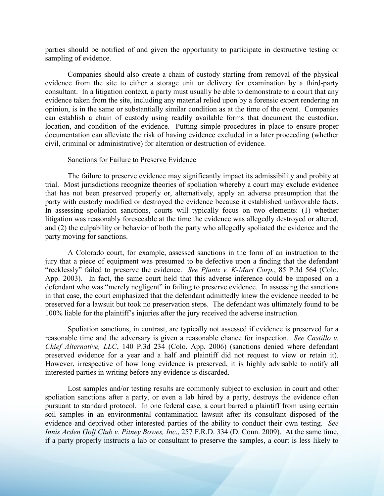parties should be notified of and given the opportunity to participate in destructive testing or sampling of evidence.

Companies should also create a chain of custody starting from removal of the physical evidence from the site to either a storage unit or delivery for examination by a third-party consultant. In a litigation context, a party must usually be able to demonstrate to a court that any evidence taken from the site, including any material relied upon by a forensic expert rendering an opinion, is in the same or substantially similar condition as at the time of the event. Companies can establish a chain of custody using readily available forms that document the custodian, location, and condition of the evidence. Putting simple procedures in place to ensure proper documentation can alleviate the risk of having evidence excluded in a later proceeding (whether civil, criminal or administrative) for alteration or destruction of evidence.

## Sanctions for Failure to Preserve Evidence

The failure to preserve evidence may significantly impact its admissibility and probity at trial. Most jurisdictions recognize theories of spoliation whereby a court may exclude evidence that has not been preserved properly or, alternatively, apply an adverse presumption that the party with custody modified or destroyed the evidence because it established unfavorable facts. In assessing spoliation sanctions, courts will typically focus on two elements: (1) whether litigation was reasonably foreseeable at the time the evidence was allegedly destroyed or altered, and (2) the culpability or behavior of both the party who allegedly spoliated the evidence and the party moving for sanctions.

A Colorado court, for example, assessed sanctions in the form of an instruction to the jury that a piece of equipment was presumed to be defective upon a finding that the defendant "recklessly" failed to preserve the evidence. *See Pfantz v. K-Mart Corp.*, 85 P.3d 564 (Colo. App. 2003). In fact, the same court held that this adverse inference could be imposed on a defendant who was "merely negligent" in failing to preserve evidence. In assessing the sanctions in that case, the court emphasized that the defendant admittedly knew the evidence needed to be preserved for a lawsuit but took no preservation steps. The defendant was ultimately found to be 100% liable for the plaintiff's injuries after the jury received the adverse instruction.

Spoliation sanctions, in contrast, are typically not assessed if evidence is preserved for a reasonable time and the adversary is given a reasonable chance for inspection. *See Castillo v. Chief Alternative, LLC*, 140 P.3d 234 (Colo. App. 2006) (sanctions denied where defendant preserved evidence for a year and a half and plaintiff did not request to view or retain it). However, irrespective of how long evidence is preserved, it is highly advisable to notify all interested parties in writing before any evidence is discarded.

Lost samples and/or testing results are commonly subject to exclusion in court and other spoliation sanctions after a party, or even a lab hired by a party, destroys the evidence often pursuant to standard protocol. In one federal case, a court barred a plaintiff from using certain soil samples in an environmental contamination lawsuit after its consultant disposed of the evidence and deprived other interested parties of the ability to conduct their own testing. *See Innis Arden Golf Club v. Pitney Bowes, Inc*., 257 F.R.D. 334 (D. Conn. 2009). At the same time, if a party properly instructs a lab or consultant to preserve the samples, a court is less likely to